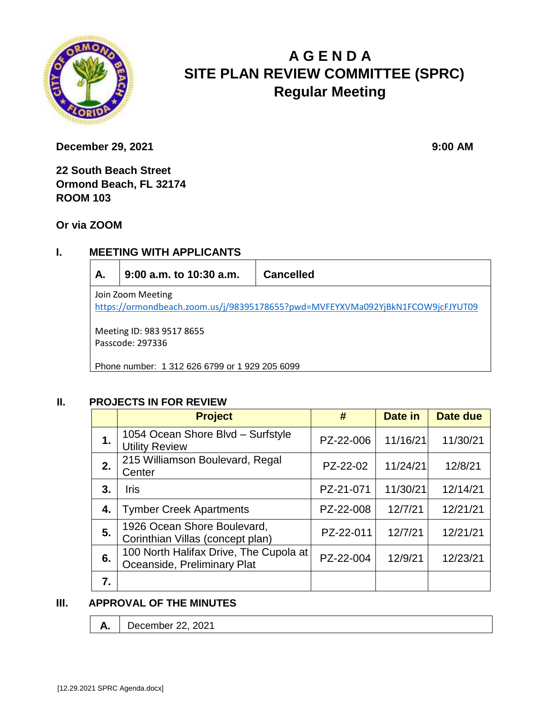

# **A G E N D A SITE PLAN REVIEW COMMITTEE (SPRC) Regular Meeting**

**December 29, 2021** 9:00 **AM** 

**22 South Beach Street Ormond Beach, FL 32174 ROOM 103**

**Or via ZOOM**

## **I. MEETING WITH APPLICANTS**

**A. 9:00 a.m. to 10:30 a.m. Cancelled** Join Zoom Meeting <https://ormondbeach.zoom.us/j/98395178655?pwd=MVFEYXVMa092YjBkN1FCOW9jcFJYUT09> Meeting ID: 983 9517 8655 Passcode: 297336

Phone number: 1 312 626 6799 or 1 929 205 6099

## **II. PROJECTS IN FOR REVIEW**

|    | <b>Project</b>                                                        | #         | Date in  | Date due |
|----|-----------------------------------------------------------------------|-----------|----------|----------|
| 1. | 1054 Ocean Shore Blvd - Surfstyle<br><b>Utility Review</b>            | PZ-22-006 | 11/16/21 | 11/30/21 |
| 2. | 215 Williamson Boulevard, Regal<br>Center                             | PZ-22-02  | 11/24/21 | 12/8/21  |
| 3. | <b>Iris</b>                                                           | PZ-21-071 | 11/30/21 | 12/14/21 |
| 4. | <b>Tymber Creek Apartments</b>                                        | PZ-22-008 | 12/7/21  | 12/21/21 |
| 5. | 1926 Ocean Shore Boulevard,<br>Corinthian Villas (concept plan)       | PZ-22-011 | 12/7/21  | 12/21/21 |
| 6. | 100 North Halifax Drive, The Cupola at<br>Oceanside, Preliminary Plat | PZ-22-004 | 12/9/21  | 12/23/21 |
| 7. |                                                                       |           |          |          |

## **III. APPROVAL OF THE MINUTES**

**A.** December 22, 2021